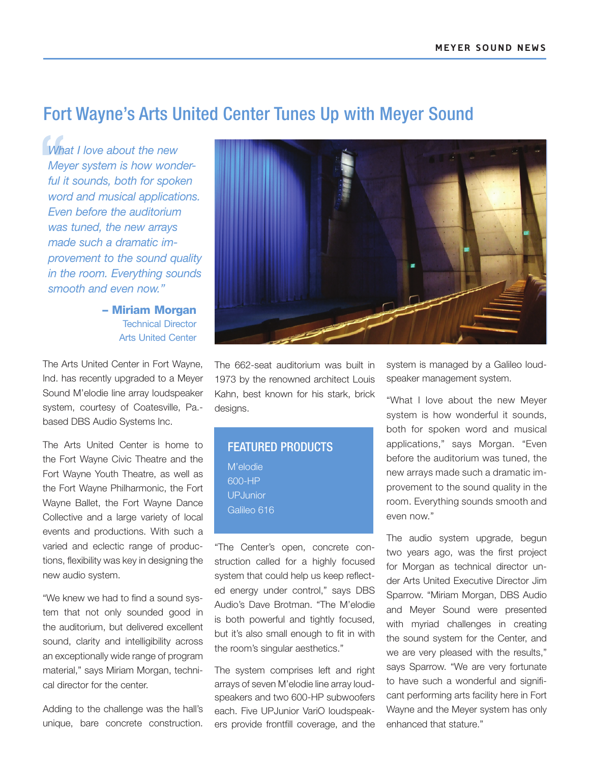## Fort Wayne's Arts United Center Tunes Up with Meyer Sound

*What I love about the new Meyer system is how wonderful it sounds, both for spoken word and musical applications. Even before the auditorium was tuned, the new arrays made such a dramatic improvement to the sound quality in the room. Everything sounds smooth and even now."*

> – Miriam Morgan Technical Director Arts United Center

The Arts United Center in Fort Wayne, Ind. has recently upgraded to a Meyer Sound M'elodie line array loudspeaker system, courtesy of Coatesville, Pa. based DBS Audio Systems Inc.

The Arts United Center is home to the Fort Wayne Civic Theatre and the Fort Wayne Youth Theatre, as well as the Fort Wayne Philharmonic, the Fort Wayne Ballet, the Fort Wayne Dance Collective and a large variety of local events and productions. With such a varied and eclectic range of productions, flexibility was key in designing the new audio system.

"We knew we had to find a sound system that not only sounded good in the auditorium, but delivered excellent sound, clarity and intelligibility across an exceptionally wide range of program material," says Miriam Morgan, technical director for the center.

Adding to the challenge was the hall's unique, bare concrete construction.



The 662-seat auditorium was built in 1973 by the renowned architect Louis Kahn, best known for his stark, brick designs.

| <b>FEATURED PRODUCTS</b> |
|--------------------------|
| M'elodie                 |
| 600-HP                   |
| <b>UPJunior</b>          |
| Galileo 616              |
|                          |

"The Center's open, concrete construction called for a highly focused system that could help us keep reflected energy under control," says DBS Audio's Dave Brotman. "The M'elodie is both powerful and tightly focused, but it's also small enough to fit in with the room's singular aesthetics."

The system comprises left and right arrays of seven M'elodie line array loudspeakers and two 600-HP subwoofers each. Five UPJunior VariO loudspeakers provide frontfill coverage, and the system is managed by a Galileo loudspeaker management system.

"What I love about the new Meyer system is how wonderful it sounds, both for spoken word and musical applications," says Morgan. "Even before the auditorium was tuned, the new arrays made such a dramatic improvement to the sound quality in the room. Everything sounds smooth and even now."

The audio system upgrade, begun two years ago, was the first project for Morgan as technical director under Arts United Executive Director Jim Sparrow. "Miriam Morgan, DBS Audio and Meyer Sound were presented with myriad challenges in creating the sound system for the Center, and we are very pleased with the results," says Sparrow. "We are very fortunate to have such a wonderful and significant performing arts facility here in Fort Wayne and the Meyer system has only enhanced that stature."